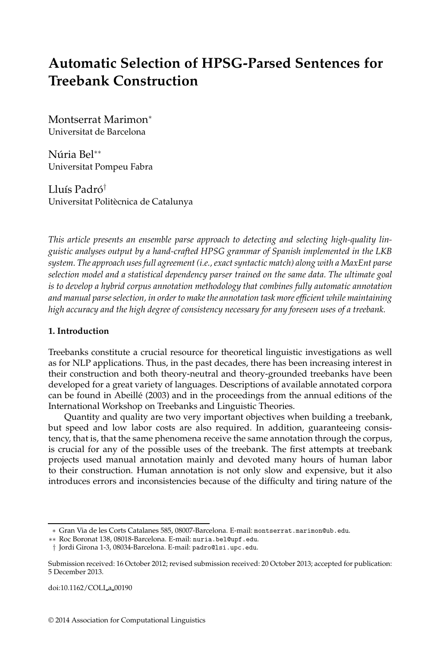# **Automatic Selection of HPSG-Parsed Sentences for Treebank Construction**

Montserrat Marimon<sup>∗</sup> Universitat de Barcelona

Núria Bel<sup>∗∗</sup> Universitat Pompeu Fabra

Lluís Padró $^{\dagger}$ Universitat Politècnica de Catalunya

*This article presents an ensemble parse approach to detecting and selecting high-quality linguistic analyses output by a hand-crafted HPSG grammar of Spanish implemented in the LKB system. The approach uses full agreement (i.e., exact syntactic match) along with a MaxEnt parse selection model and a statistical dependency parser trained on the same data. The ultimate goal is to develop a hybrid corpus annotation methodology that combines fully automatic annotation and manual parse selection, in order to make the annotation task more efficient while maintaining high accuracy and the high degree of consistency necessary for any foreseen uses of a treebank.*

## **1. Introduction**

Treebanks constitute a crucial resource for theoretical linguistic investigations as well as for NLP applications. Thus, in the past decades, there has been increasing interest in their construction and both theory-neutral and theory-grounded treebanks have been developed for a great variety of languages. Descriptions of available annotated corpora can be found in Abeillé (2003) and in the proceedings from the annual editions of the International Workshop on Treebanks and Linguistic Theories.

Quantity and quality are two very important objectives when building a treebank, but speed and low labor costs are also required. In addition, guaranteeing consistency, that is, that the same phenomena receive the same annotation through the corpus, is crucial for any of the possible uses of the treebank. The first attempts at treebank projects used manual annotation mainly and devoted many hours of human labor to their construction. Human annotation is not only slow and expensive, but it also introduces errors and inconsistencies because of the difficulty and tiring nature of the

doi:10.1162/COLI a 00190

<sup>∗</sup> Gran Via de les Corts Catalanes 585, 08007-Barcelona. E-mail: montserrat.marimon@ub.edu.

<sup>∗∗</sup> Roc Boronat 138, 08018-Barcelona. E-mail: nuria.bel@upf.edu.

<sup>†</sup> Jordi Girona 1-3, 08034-Barcelona. E-mail: padro@lsi.upc.edu.

Submission received: 16 October 2012; revised submission received: 20 October 2013; accepted for publication: 5 December 2013.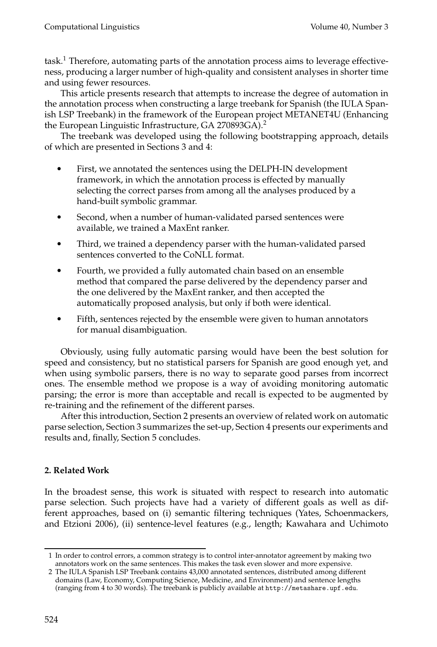task.<sup>1</sup> Therefore, automating parts of the annotation process aims to leverage effectiveness, producing a larger number of high-quality and consistent analyses in shorter time and using fewer resources.

This article presents research that attempts to increase the degree of automation in the annotation process when constructing a large treebank for Spanish (the IULA Spanish LSP Treebank) in the framework of the European project METANET4U (Enhancing the European Linguistic Infrastructure, GA 270893GA).<sup>2</sup>

The treebank was developed using the following bootstrapping approach, details of which are presented in Sections 3 and 4:

- - First, we annotated the sentences using the DELPH-IN development framework, in which the annotation process is effected by manually selecting the correct parses from among all the analyses produced by a hand-built symbolic grammar.
- - Second, when a number of human-validated parsed sentences were available, we trained a MaxEnt ranker.
- - Third, we trained a dependency parser with the human-validated parsed sentences converted to the CoNLL format.
- - Fourth, we provided a fully automated chain based on an ensemble method that compared the parse delivered by the dependency parser and the one delivered by the MaxEnt ranker, and then accepted the automatically proposed analysis, but only if both were identical.
- - Fifth, sentences rejected by the ensemble were given to human annotators for manual disambiguation.

Obviously, using fully automatic parsing would have been the best solution for speed and consistency, but no statistical parsers for Spanish are good enough yet, and when using symbolic parsers, there is no way to separate good parses from incorrect ones. The ensemble method we propose is a way of avoiding monitoring automatic parsing; the error is more than acceptable and recall is expected to be augmented by re-training and the refinement of the different parses.

After this introduction, Section 2 presents an overview of related work on automatic parse selection, Section 3 summarizes the set-up, Section 4 presents our experiments and results and, finally, Section 5 concludes.

# **2. Related Work**

In the broadest sense, this work is situated with respect to research into automatic parse selection. Such projects have had a variety of different goals as well as different approaches, based on (i) semantic filtering techniques (Yates, Schoenmackers, and Etzioni 2006), (ii) sentence-level features (e.g., length; Kawahara and Uchimoto

<sup>1</sup> In order to control errors, a common strategy is to control inter-annotator agreement by making two annotators work on the same sentences. This makes the task even slower and more expensive.

<sup>2</sup> The IULA Spanish LSP Treebank contains 43,000 annotated sentences, distributed among different domains (Law, Economy, Computing Science, Medicine, and Environment) and sentence lengths (ranging from 4 to 30 words). The treebank is publicly available at http://metashare.upf.edu.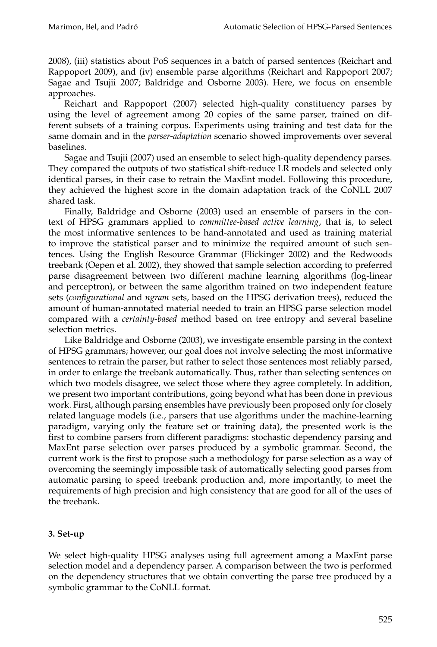2008), (iii) statistics about PoS sequences in a batch of parsed sentences (Reichart and Rappoport 2009), and (iv) ensemble parse algorithms (Reichart and Rappoport 2007; Sagae and Tsujii 2007; Baldridge and Osborne 2003). Here, we focus on ensemble approaches.

Reichart and Rappoport (2007) selected high-quality constituency parses by using the level of agreement among 20 copies of the same parser, trained on different subsets of a training corpus. Experiments using training and test data for the same domain and in the *parser-adaptation* scenario showed improvements over several baselines.

Sagae and Tsujii (2007) used an ensemble to select high-quality dependency parses. They compared the outputs of two statistical shift-reduce LR models and selected only identical parses, in their case to retrain the MaxEnt model. Following this procedure, they achieved the highest score in the domain adaptation track of the CoNLL 2007 shared task.

Finally, Baldridge and Osborne (2003) used an ensemble of parsers in the context of HPSG grammars applied to *committee-based active learning*, that is, to select the most informative sentences to be hand-annotated and used as training material to improve the statistical parser and to minimize the required amount of such sentences. Using the English Resource Grammar (Flickinger 2002) and the Redwoods treebank (Oepen et al. 2002), they showed that sample selection according to preferred parse disagreement between two different machine learning algorithms (log-linear and perceptron), or between the same algorithm trained on two independent feature sets (*configurational* and *ngram* sets, based on the HPSG derivation trees), reduced the amount of human-annotated material needed to train an HPSG parse selection model compared with a *certainty-based* method based on tree entropy and several baseline selection metrics.

Like Baldridge and Osborne (2003), we investigate ensemble parsing in the context of HPSG grammars; however, our goal does not involve selecting the most informative sentences to retrain the parser, but rather to select those sentences most reliably parsed, in order to enlarge the treebank automatically. Thus, rather than selecting sentences on which two models disagree, we select those where they agree completely. In addition, we present two important contributions, going beyond what has been done in previous work. First, although parsing ensembles have previously been proposed only for closely related language models (i.e., parsers that use algorithms under the machine-learning paradigm, varying only the feature set or training data), the presented work is the first to combine parsers from different paradigms: stochastic dependency parsing and MaxEnt parse selection over parses produced by a symbolic grammar. Second, the current work is the first to propose such a methodology for parse selection as a way of overcoming the seemingly impossible task of automatically selecting good parses from automatic parsing to speed treebank production and, more importantly, to meet the requirements of high precision and high consistency that are good for all of the uses of the treebank.

# **3. Set-up**

We select high-quality HPSG analyses using full agreement among a MaxEnt parse selection model and a dependency parser. A comparison between the two is performed on the dependency structures that we obtain converting the parse tree produced by a symbolic grammar to the CoNLL format.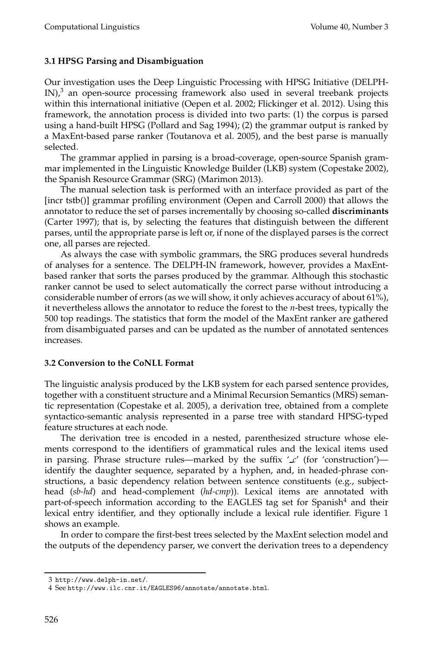# **3.1 HPSG Parsing and Disambiguation**

Our investigation uses the Deep Linguistic Processing with HPSG Initiative (DELPH- $IN)<sup>3</sup>$  an open-source processing framework also used in several treebank projects within this international initiative (Oepen et al. 2002; Flickinger et al. 2012). Using this framework, the annotation process is divided into two parts: (1) the corpus is parsed using a hand-built HPSG (Pollard and Sag 1994); (2) the grammar output is ranked by a MaxEnt-based parse ranker (Toutanova et al. 2005), and the best parse is manually selected.

The grammar applied in parsing is a broad-coverage, open-source Spanish grammar implemented in the Linguistic Knowledge Builder (LKB) system (Copestake 2002), the Spanish Resource Grammar (SRG) (Marimon 2013).

The manual selection task is performed with an interface provided as part of the [incr tstb()] grammar profiling environment (Oepen and Carroll 2000) that allows the annotator to reduce the set of parses incrementally by choosing so-called **discriminants** (Carter 1997); that is, by selecting the features that distinguish between the different parses, until the appropriate parse is left or, if none of the displayed parses is the correct one, all parses are rejected.

As always the case with symbolic grammars, the SRG produces several hundreds of analyses for a sentence. The DELPH-IN framework, however, provides a MaxEntbased ranker that sorts the parses produced by the grammar. Although this stochastic ranker cannot be used to select automatically the correct parse without introducing a considerable number of errors (as we will show, it only achieves accuracy of about 61%), it nevertheless allows the annotator to reduce the forest to the *n*-best trees, typically the 500 top readings. The statistics that form the model of the MaxEnt ranker are gathered from disambiguated parses and can be updated as the number of annotated sentences increases.

### **3.2 Conversion to the CoNLL Format**

The linguistic analysis produced by the LKB system for each parsed sentence provides, together with a constituent structure and a Minimal Recursion Semantics (MRS) semantic representation (Copestake et al. 2005), a derivation tree, obtained from a complete syntactico-semantic analysis represented in a parse tree with standard HPSG-typed feature structures at each node.

The derivation tree is encoded in a nested, parenthesized structure whose elements correspond to the identifiers of grammatical rules and the lexical items used in parsing. Phrase structure rules—marked by the suffix  $'_{\mathcal{L}}$  (for 'construction') identify the daughter sequence, separated by a hyphen, and, in headed-phrase constructions, a basic dependency relation between sentence constituents (e.g., subjecthead (*sb-hd*) and head-complement (*hd-cmp*)). Lexical items are annotated with part-of-speech information according to the EAGLES tag set for Spanish<sup>4</sup> and their lexical entry identifier, and they optionally include a lexical rule identifier. Figure 1 shows an example.

In order to compare the first-best trees selected by the MaxEnt selection model and the outputs of the dependency parser, we convert the derivation trees to a dependency

<sup>3</sup> http://www.delph-in.net/.

<sup>4</sup> See http://www.ilc.cnr.it/EAGLES96/annotate/annotate.html.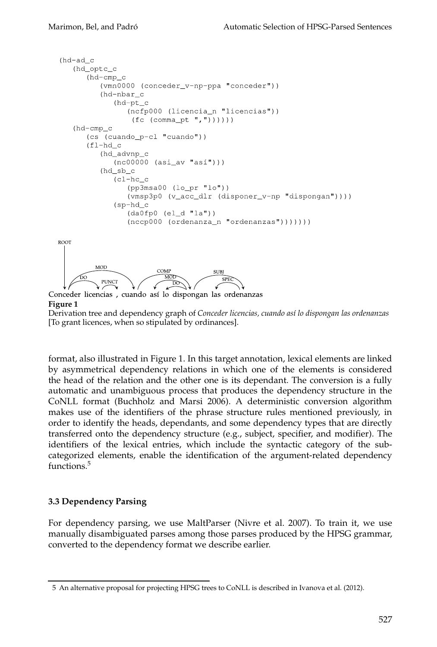```
(hd-ad c)(hd_optc_c
        (hd-cmp_c(vmn0000 (conceder_v-np-ppa "conceder"))
            (hd-nbar_c(hd-pt_c
                  (ncfp000 (licencia_n "licencias"))
                   (fc (commap t ",""))))(hd-cmp\_c(cs (cuando_p-cl "cuando"))
         (f1-hd_c)(hd_advnp_c
               (nc00000 (asi_a v "asi")(hd sb c
               (c1-hc_c)(pp3msa00 (lo_pr "lo"))
                  (vmsp3p0 (v_acc_dlr (disponer_v-np "dispongan"))))
               (sp-hd c(da0fp0 (el_d "la"))(nccp000 (ordenanza_n "ordenanzas"))))))))
  ROOT
           MOD
                          COMP
                                        SUBI
                            MOT
                                          SPF
            PUNCT
                             ĐO.
Conceder licencias, cuando así lo dispongan las ordenanzas
Figure 1
```

```
Derivation tree and dependency graph of Conceder licencias, cuando as´ı lo dispongan las ordenanzas
[To grant licences, when so stipulated by ordinances].
```
format, also illustrated in Figure 1. In this target annotation, lexical elements are linked by asymmetrical dependency relations in which one of the elements is considered the head of the relation and the other one is its dependant. The conversion is a fully automatic and unambiguous process that produces the dependency structure in the CoNLL format (Buchholz and Marsi 2006). A deterministic conversion algorithm makes use of the identifiers of the phrase structure rules mentioned previously, in order to identify the heads, dependants, and some dependency types that are directly transferred onto the dependency structure (e.g., subject, specifier, and modifier). The identifiers of the lexical entries, which include the syntactic category of the subcategorized elements, enable the identification of the argument-related dependency functions.<sup>5</sup>

### **3.3 Dependency Parsing**

For dependency parsing, we use MaltParser (Nivre et al. 2007). To train it, we use manually disambiguated parses among those parses produced by the HPSG grammar, converted to the dependency format we describe earlier.

<sup>5</sup> An alternative proposal for projecting HPSG trees to CoNLL is described in Ivanova et al. (2012).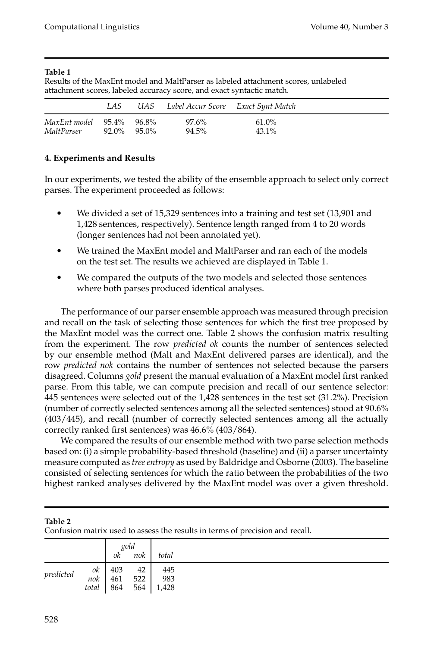#### **Table 1**

Results of the MaxEnt model and MaltParser as labeled attachment scores, unlabeled attachment scores, labeled accuracy score, and exact syntactic match.

|                                        | LAS.        |  | UAS Label Accur Score Exact Synt Match |                   |  |
|----------------------------------------|-------------|--|----------------------------------------|-------------------|--|
| MaxEnt model 95.4% 96.8%<br>MaltParser | 92.0% 95.0% |  | 97.6%<br>94.5%                         | 61.0%<br>$43.1\%$ |  |

# **4. Experiments and Results**

In our experiments, we tested the ability of the ensemble approach to select only correct parses. The experiment proceeded as follows:

- $\bullet$  We divided a set of 15,329 sentences into a training and test set (13,901 and 1,428 sentences, respectively). Sentence length ranged from 4 to 20 words (longer sentences had not been annotated yet).
- - We trained the MaxEnt model and MaltParser and ran each of the models on the test set. The results we achieved are displayed in Table 1.
- - We compared the outputs of the two models and selected those sentences where both parses produced identical analyses.

The performance of our parser ensemble approach was measured through precision and recall on the task of selecting those sentences for which the first tree proposed by the MaxEnt model was the correct one. Table 2 shows the confusion matrix resulting from the experiment. The row *predicted ok* counts the number of sentences selected by our ensemble method (Malt and MaxEnt delivered parses are identical), and the row *predicted nok* contains the number of sentences not selected because the parsers disagreed. Columns *gold* present the manual evaluation of a MaxEnt model first ranked parse. From this table, we can compute precision and recall of our sentence selector: 445 sentences were selected out of the 1,428 sentences in the test set (31.2%). Precision (number of correctly selected sentences among all the selected sentences) stood at 90.6% (403/445), and recall (number of correctly selected sentences among all the actually correctly ranked first sentences) was 46.6% (403/864).

We compared the results of our ensemble method with two parse selection methods based on: (i) a simple probability-based threshold (baseline) and (ii) a parser uncertainty measure computed as *tree entropy* as used by Baldridge and Osborne (2003). The baseline consisted of selecting sentences for which the ratio between the probabilities of the two highest ranked analyses delivered by the MaxEnt model was over a given threshold.

|           |           | gold |     |       |  |  |  |  |  |
|-----------|-----------|------|-----|-------|--|--|--|--|--|
|           |           | ok   | nok | total |  |  |  |  |  |
| predicted | ok<br>nok | 403  | 42  | 445   |  |  |  |  |  |
|           |           | 461  | 522 | 983   |  |  |  |  |  |
|           | total     | 864  | 564 | 1,428 |  |  |  |  |  |

**Table 2**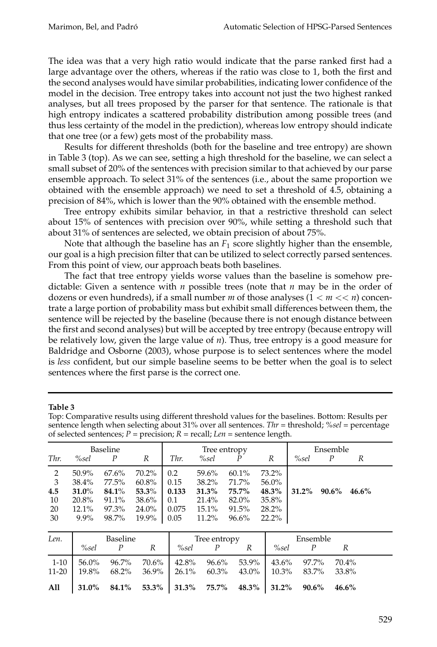The idea was that a very high ratio would indicate that the parse ranked first had a large advantage over the others, whereas if the ratio was close to 1, both the first and the second analyses would have similar probabilities, indicating lower confidence of the model in the decision. Tree entropy takes into account not just the two highest ranked analyses, but all trees proposed by the parser for that sentence. The rationale is that high entropy indicates a scattered probability distribution among possible trees (and thus less certainty of the model in the prediction), whereas low entropy should indicate that one tree (or a few) gets most of the probability mass.

Results for different thresholds (both for the baseline and tree entropy) are shown in Table 3 (top). As we can see, setting a high threshold for the baseline, we can select a small subset of 20% of the sentences with precision similar to that achieved by our parse ensemble approach. To select 31% of the sentences (i.e., about the same proportion we obtained with the ensemble approach) we need to set a threshold of 4.5, obtaining a precision of 84%, which is lower than the 90% obtained with the ensemble method.

Tree entropy exhibits similar behavior, in that a restrictive threshold can select about 15% of sentences with precision over 90%, while setting a threshold such that about 31% of sentences are selected, we obtain precision of about 75%.

Note that although the baseline has an  $F_1$  score slightly higher than the ensemble, our goal is a high precision filter that can be utilized to select correctly parsed sentences. From this point of view, our approach beats both baselines.

The fact that tree entropy yields worse values than the baseline is somehow predictable: Given a sentence with *n* possible trees (note that *n* may be in the order of dozens or even hundreds), if a small number *m* of those analyses (1 < *m* << *n*) concentrate a large portion of probability mass but exhibit small differences between them, the sentence will be rejected by the baseline (because there is not enough distance between the first and second analyses) but will be accepted by tree entropy (because entropy will be relatively low, given the large value of *n*). Thus, tree entropy is a good measure for Baldridge and Osborne (2003), whose purpose is to select sentences where the model is *less* confident, but our simple baseline seems to be better when the goal is to select sentences where the first parse is the correct one.

#### **Table 3**

Top: Comparative results using different threshold values for the baselines. Bottom: Results per sentence length when selecting about 31% over all sentences. *Thr* = threshold; *%sel* = percentage of selected sentences;  $P = \text{precision}$ ;  $R = \text{recall}$ ;  $Len = \text{sentence length}$ .

| Thr.                            | <b>Baseline</b><br>R<br>%sel<br>$\boldsymbol{P}$        |                                                          |                                                             |                                              | Tree entropy<br>Thr.<br>%sel<br>R<br>P                      |                                                       |                                                       |       | Ensemble<br>%sel<br>P<br>R |       |  |  |
|---------------------------------|---------------------------------------------------------|----------------------------------------------------------|-------------------------------------------------------------|----------------------------------------------|-------------------------------------------------------------|-------------------------------------------------------|-------------------------------------------------------|-------|----------------------------|-------|--|--|
| 2<br>3<br>4.5<br>10<br>20<br>30 | 50.9%<br>38.4%<br>31.0%<br>20.8%<br>$12.1\%$<br>$9.9\%$ | $67.6\%$<br>77.5%<br>$84.1\%$<br>91.1%<br>97.3%<br>98.7% | 70.2%<br>$60.8\%$<br>$53.3\%$<br>$38.6\%$<br>24.0%<br>19.9% | 0.2<br>0.15<br>0.133<br>0.1<br>0.075<br>0.05 | 59.6%<br>$38.2\%$<br>$31.3\%$<br>21.4%<br>$15.1\%$<br>11.2% | 60.1%<br>71.7%<br>75.7%<br>82.0%<br>91.5%<br>$96.6\%$ | 73.2%<br>56.0%<br>48.3%<br>35.8%<br>28.2%<br>$22.2\%$ | 31.2% | 90.6%                      | 46.6% |  |  |

| Len.   | Baseline |            |  | Tree entropy                                                                                                                       | Ensemble |  |  |  |
|--------|----------|------------|--|------------------------------------------------------------------------------------------------------------------------------------|----------|--|--|--|
|        |          | $%sel$ $P$ |  | %sel $P$                                                                                                                           | %sel     |  |  |  |
| $1-10$ |          |            |  | $\vert$ 56.0% 96.7% 70.6% 42.8% 96.6% 53.9% 43.6% 97.7% 70.4%<br>11-20   19.8% 68.2% 36.9%   26.1% 60.3% 43.0%   10.3% 83.7% 33.8% |          |  |  |  |
| All    |          |            |  | $\vert$ 31.0% 84.1% 53.3% 31.3% 75.7% 48.3% 31.2% 90.6% 46.6%                                                                      |          |  |  |  |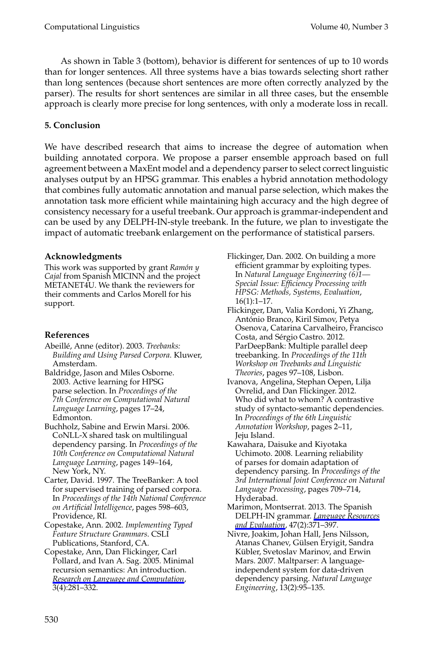Computational Linguistics Volume 40, Number 3

As shown in Table 3 (bottom), behavior is different for sentences of up to 10 words than for longer sentences. All three systems have a bias towards selecting short rather than long sentences (because short sentences are more often correctly analyzed by the parser). The results for short sentences are similar in all three cases, but the ensemble approach is clearly more precise for long sentences, with only a moderate loss in recall.

#### **5. Conclusion**

We have described research that aims to increase the degree of automation when building annotated corpora. We propose a parser ensemble approach based on full agreement between a MaxEnt model and a dependency parser to select correct linguistic analyses output by an HPSG grammar. This enables a hybrid annotation methodology that combines fully automatic annotation and manual parse selection, which makes the annotation task more efficient while maintaining high accuracy and the high degree of consistency necessary for a useful treebank. Our approach is grammar-independent and can be used by any DELPH-IN-style treebank. In the future, we plan to investigate the impact of automatic treebank enlargement on the performance of statistical parsers.

#### **Acknowledgments**

This work was supported by grant *Ram´on y Cajal* from Spanish MICINN and the project METANET4U. We thank the reviewers for their comments and Carlos Morell for his support.

#### **References**

- Abeill´e, Anne (editor). 2003. *Treebanks: Building and Using Parsed Corpora*. Kluwer, Amsterdam.
- Baldridge, Jason and Miles Osborne. 2003. Active learning for HPSG parse selection. In *Proceedings of the 7th Conference on Computational Natural Language Learning*, pages 17–24, Edmonton.
- Buchholz, Sabine and Erwin Marsi. 2006. CoNLL-X shared task on multilingual dependency parsing. In *Proceedings of the 10th Conference on Computational Natural Language Learning*, pages 149–164, New York, NY.
- Carter, David. 1997. The TreeBanker: A tool for supervised training of parsed corpora. In *Proceedings of the 14th National Conference on Artificial Intelligence*, pages 598–603, [Providence, RI.](http://www.mitpressjournals.org/action/showLinks?crossref=10.1007%2Fs11168-006-6327-9)
- Copestake, Ann. 2002. *Implementing Typed Feature Structure Grammars*. CSLI Publications, Stanford, CA.
- Copestake, Ann, Dan Flickinger, Carl Pollard, and Ivan A. Sag. 2005. Minimal recursion semantics: An introduction. *Research on Language and Computation*, 3(4):281–332.
- Flickinger, Dan. 2002. On building a more efficient grammar by exploiting types. In *Natural Language Engineering (6)1— Special Issue: Efficiency Processing with HPSG: Methods, Systems, Evaluation*, 16(1):1–17.
- Flickinger, Dan, Valia Kordoni, Yi Zhang, António Branco, Kiril Simov, Petya Osenova, Catarina Carvalheiro, Francisco Costa, and Sérgio Castro. 2012. ParDeepBank: Multiple parallel deep treebanking. In *Proceedings of the 11th Workshop on Treebanks and Linguistic Theories*, pages 97–108, Lisbon.
- Ivanova, Angelina, Stephan Oepen, Lilja Ovrelid, and Dan Flickinger. 2012. Who did what to whom? A contrastive study of syntacto-semantic dependencies. In *Proceedings of the 6th Linguistic Annotation Workshop*, pages 2–11, Jeju Island.
- Kawahara, Daisuke and Kiyotaka Uchimoto. 2008. Lear[ning reliability](http://www.mitpressjournals.org/action/showLinks?crossref=10.1007%2Fs10579-012-9199-7) [of parses for d](http://www.mitpressjournals.org/action/showLinks?crossref=10.1007%2Fs10579-012-9199-7)omain adaptation of dependency parsing. In *Proceedings of the 3rd International Joint Conference on Natural Language Processing*, pages 709–714, Hyderabad.
- Marimon, Montserrat. 2013. The Spanish DELPH-IN grammar. *Language Resources and Evaluation*, 47(2):371–397.
- Nivre, Joakim, Johan Hall, Jens Nilsson, Atanas Chanev, Gülsen Eryigit, Sandra Kübler, Svetoslav Marinov, and Erwin Mars. 2007. Maltparser: A languageindependent system for data-driven dependency parsing. *Natural Language Engineering*, 13(2):95–135.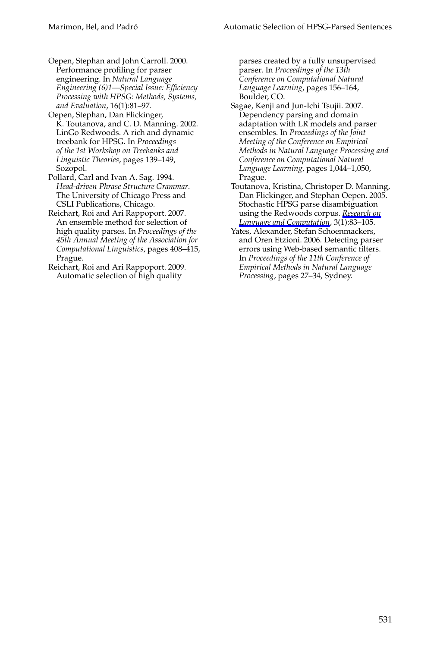#### Marimon, Bel, and Padró **Automatic Selection of HPSG-Parsed Sentences**

Oepen, Stephan and John Carroll. 2000. Performance profiling for parser engineering. In *Natural Language Engineering (6)1—Special Issue: Efficiency Processing with HPSG: Methods, Systems, and Evaluation*, 16(1):81–97.

Oepen, Stephan, Dan Flickinger, K. Toutanova, and C. D. Manning. 2002. LinGo Redwoods. A rich and dynamic treebank for HPSG. In *Proceedings of the 1st Workshop on Treebanks and Linguistic Theories*, pages 139–149, Sozopol.

- Pollard, Carl and Ivan A. Sag. 1994. *Head-driven Phrase Structure Grammar*. The University of Chicago Press and CSLI Publications, Chicago.
- Reichart, Roi and Ari Rappoport. 2007. An ensemble method for selection of high quality parses. In *Proceedings of the 45th Annual Meeting of the Association for Computational Linguistics*, pages 408–415, Prague.

Reichart, Roi and Ari Rappoport. 2009. Automatic selection of high quality

parses created by a fully unsupervised parser. In *Proceedings of the 13th Conference on Computational Natural Language Learning*, pages 156–164, Boulder, CO.

- Sagae, Kenji and Jun-Ichi Tsujii. 2007. Dependency parsing and domain adaptation with LR models and parser ensembles. In *Proceedings of the Joint Meeting of the Conference on Empirical Methods in Natural Language [Processing an](http://www.mitpressjournals.org/action/showLinks?crossref=10.1007%2Fs11168-005-1288-y)d [Conference on Computation](http://www.mitpressjournals.org/action/showLinks?crossref=10.1007%2Fs11168-005-1288-y)al Natural Language Learning*, pages 1,044–1,050, Prague.
- Toutanova, Kristina, Christoper D. Manning, Dan Flickinger, and Stephan Oepen. 2005. Stochastic HPSG parse disambiguation using the Redwoods corpus. *Research on Language and Computation*, 3(1):83–105.
- Yates, Alexander, Stefan Schoenmackers, and Oren Etzioni. 2006. Detecting parser errors using Web-based semantic filters. In *Proceedings of the 11th Conference of Empirical Methods in Natural Language Processing*, pages 27–34, Sydney.